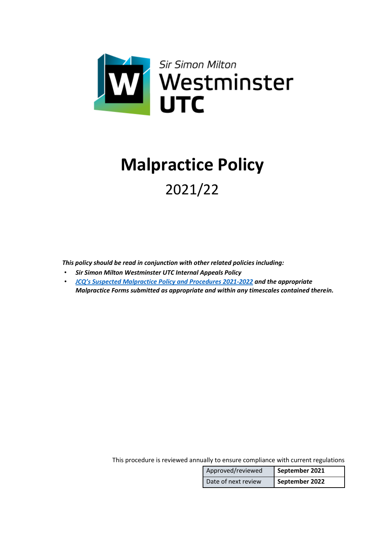

# **Malpractice Policy** 2021/22

*This policy should be read in conjunction with other related policies including:* 

- *Sir Simon Milton Westminster UTC Internal Appeals Policy*
- *[JCQ's Suspected Malpractice Policy and Procedures 2021](https://www.jcq.org.uk/wp-content/uploads/2021/09/Malpractice_21-22_FINAL.pdf)-2022 and the appropriate Malpractice Forms submitted as appropriate and within any timescales contained therein.*

This procedure is reviewed annually to ensure compliance with current regulations

| Approved/reviewed   | September 2021 |
|---------------------|----------------|
| Date of next review | September 2022 |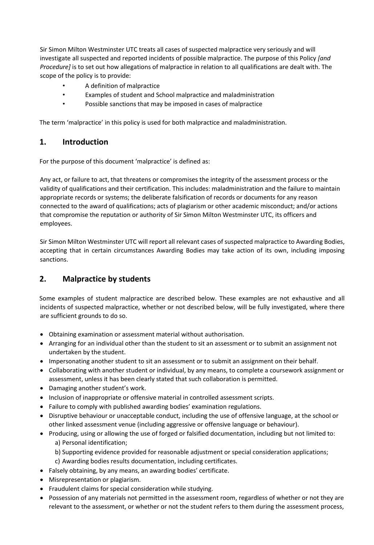Sir Simon Milton Westminster UTC treats all cases of suspected malpractice very seriously and will investigate all suspected and reported incidents of possible malpractice. The purpose of this Policy *[and Procedure]* is to set out how allegations of malpractice in relation to all qualifications are dealt with. The scope of the policy is to provide:

- A definition of malpractice
- Examples of student and School malpractice and maladministration
- Possible sanctions that may be imposed in cases of malpractice

The term 'malpractice' in this policy is used for both malpractice and maladministration.

## **1. Introduction**

For the purpose of this document 'malpractice' is defined as:

Any act, or failure to act, that threatens or compromises the integrity of the assessment process or the validity of qualifications and their certification. This includes: maladministration and the failure to maintain appropriate records or systems; the deliberate falsification of records or documents for any reason connected to the award of qualifications; acts of plagiarism or other academic misconduct; and/or actions that compromise the reputation or authority of Sir Simon Milton Westminster UTC, its officers and employees.

Sir Simon Milton Westminster UTC will report all relevant cases of suspected malpractice to Awarding Bodies, accepting that in certain circumstances Awarding Bodies may take action of its own, including imposing sanctions.

# **2. Malpractice by students**

Some examples of student malpractice are described below. These examples are not exhaustive and all incidents of suspected malpractice, whether or not described below, will be fully investigated, where there are sufficient grounds to do so.

- Obtaining examination or assessment material without authorisation.
- Arranging for an individual other than the student to sit an assessment or to submit an assignment not undertaken by the student.
- Impersonating another student to sit an assessment or to submit an assignment on their behalf.
- Collaborating with another student or individual, by any means, to complete a coursework assignment or assessment, unless it has been clearly stated that such collaboration is permitted.
- Damaging another student's work.
- Inclusion of inappropriate or offensive material in controlled assessment scripts.
- Failure to comply with published awarding bodies' examination regulations.
- Disruptive behaviour or unacceptable conduct, including the use of offensive language, at the school or other linked assessment venue (including aggressive or offensive language or behaviour).
- Producing, using or allowing the use of forged or falsified documentation, including but not limited to:
	- a) Personal identification;
	- b) Supporting evidence provided for reasonable adjustment or special consideration applications;
	- c) Awarding bodies results documentation, including certificates.
- Falsely obtaining, by any means, an awarding bodies' certificate.
- Misrepresentation or plagiarism.
- Fraudulent claims for special consideration while studying.
- Possession of any materials not permitted in the assessment room, regardless of whether or not they are relevant to the assessment, or whether or not the student refers to them during the assessment process,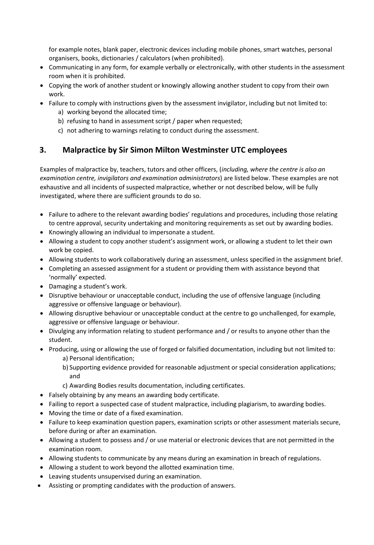for example notes, blank paper, electronic devices including mobile phones, smart watches, personal organisers, books, dictionaries / calculators (when prohibited).

- Communicating in any form, for example verbally or electronically, with other students in the assessment room when it is prohibited.
- Copying the work of another student or knowingly allowing another student to copy from their own work.
- Failure to comply with instructions given by the assessment invigilator, including but not limited to:
	- a) working beyond the allocated time;
	- b) refusing to hand in assessment script / paper when requested;
	- c) not adhering to warnings relating to conduct during the assessment.

## **3. Malpractice by Sir Simon Milton Westminster UTC employees**

Examples of malpractice by, teachers, tutors and other officers, (*including, where the centre is also an examination centre, invigilators and examination administrators*) are listed below. These examples are not exhaustive and all incidents of suspected malpractice, whether or not described below, will be fully investigated, where there are sufficient grounds to do so.

- Failure to adhere to the relevant awarding bodies' regulations and procedures, including those relating to centre approval, security undertaking and monitoring requirements as set out by awarding bodies.
- Knowingly allowing an individual to impersonate a student.
- Allowing a student to copy another student's assignment work, or allowing a student to let their own work be copied.
- Allowing students to work collaboratively during an assessment, unless specified in the assignment brief.
- Completing an assessed assignment for a student or providing them with assistance beyond that 'normally' expected.
- Damaging a student's work.
- Disruptive behaviour or unacceptable conduct, including the use of offensive language (including aggressive or offensive language or behaviour).
- Allowing disruptive behaviour or unacceptable conduct at the centre to go unchallenged, for example, aggressive or offensive language or behaviour.
- Divulging any information relating to student performance and / or results to anyone other than the student.
- Producing, using or allowing the use of forged or falsified documentation, including but not limited to: a) Personal identification;
	- b) Supporting evidence provided for reasonable adjustment or special consideration applications; and
	- c) Awarding Bodies results documentation, including certificates.
- Falsely obtaining by any means an awarding body certificate.
- Failing to report a suspected case of student malpractice, including plagiarism, to awarding bodies.
- Moving the time or date of a fixed examination.
- Failure to keep examination question papers, examination scripts or other assessment materials secure, before during or after an examination.
- Allowing a student to possess and / or use material or electronic devices that are not permitted in the examination room.
- Allowing students to communicate by any means during an examination in breach of regulations.
- Allowing a student to work beyond the allotted examination time.
- Leaving students unsupervised during an examination.
- Assisting or prompting candidates with the production of answers.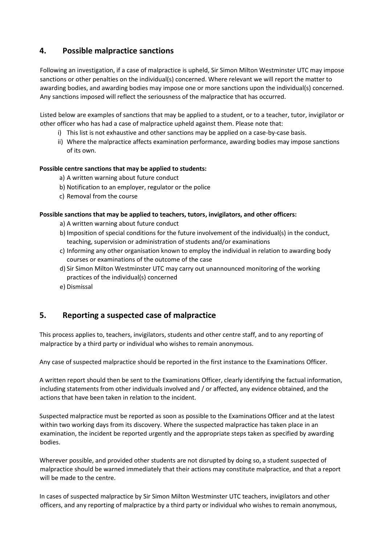# **4. Possible malpractice sanctions**

Following an investigation, if a case of malpractice is upheld, Sir Simon Milton Westminster UTC may impose sanctions or other penalties on the individual(s) concerned. Where relevant we will report the matter to awarding bodies, and awarding bodies may impose one or more sanctions upon the individual(s) concerned. Any sanctions imposed will reflect the seriousness of the malpractice that has occurred.

Listed below are examples of sanctions that may be applied to a student, or to a teacher, tutor, invigilator or other officer who has had a case of malpractice upheld against them. Please note that:

- i) This list is not exhaustive and other sanctions may be applied on a case-by-case basis.
- ii) Where the malpractice affects examination performance, awarding bodies may impose sanctions of its own.

#### **Possible centre sanctions that may be applied to students:**

- a) A written warning about future conduct
- b) Notification to an employer, regulator or the police
- c) Removal from the course

#### **Possible sanctions that may be applied to teachers, tutors, invigilators, and other officers:**

- a) A written warning about future conduct
- b) Imposition of special conditions for the future involvement of the individual(s) in the conduct, teaching, supervision or administration of students and/or examinations
- c) Informing any other organisation known to employ the individual in relation to awarding body courses or examinations of the outcome of the case
- d) Sir Simon Milton Westminster UTC may carry out unannounced monitoring of the working practices of the individual(s) concerned
- e) Dismissal

## **5. Reporting a suspected case of malpractice**

This process applies to, teachers, invigilators, students and other centre staff, and to any reporting of malpractice by a third party or individual who wishes to remain anonymous.

Any case of suspected malpractice should be reported in the first instance to the Examinations Officer.

A written report should then be sent to the Examinations Officer, clearly identifying the factual information, including statements from other individuals involved and / or affected, any evidence obtained, and the actions that have been taken in relation to the incident.

Suspected malpractice must be reported as soon as possible to the Examinations Officer and at the latest within two working days from its discovery. Where the suspected malpractice has taken place in an examination, the incident be reported urgently and the appropriate steps taken as specified by awarding bodies.

Wherever possible, and provided other students are not disrupted by doing so, a student suspected of malpractice should be warned immediately that their actions may constitute malpractice, and that a report will be made to the centre.

In cases of suspected malpractice by Sir Simon Milton Westminster UTC teachers, invigilators and other officers, and any reporting of malpractice by a third party or individual who wishes to remain anonymous,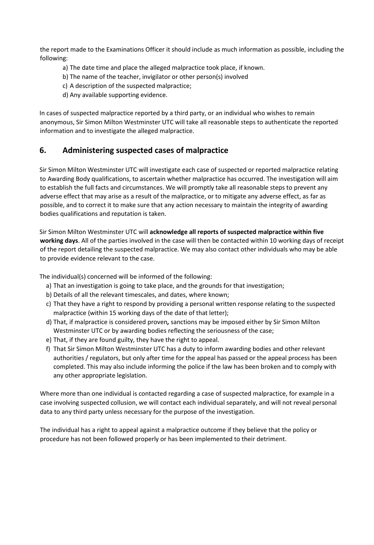the report made to the Examinations Officer it should include as much information as possible, including the following:

- a) The date time and place the alleged malpractice took place, if known.
- b) The name of the teacher, invigilator or other person(s) involved
- c) A description of the suspected malpractice;
- d) Any available supporting evidence.

In cases of suspected malpractice reported by a third party, or an individual who wishes to remain anonymous, Sir Simon Milton Westminster UTC will take all reasonable steps to authenticate the reported information and to investigate the alleged malpractice.

### **6. Administering suspected cases of malpractice**

Sir Simon Milton Westminster UTC will investigate each case of suspected or reported malpractice relating to Awarding Body qualifications, to ascertain whether malpractice has occurred. The investigation will aim to establish the full facts and circumstances. We will promptly take all reasonable steps to prevent any adverse effect that may arise as a result of the malpractice, or to mitigate any adverse effect, as far as possible, and to correct it to make sure that any action necessary to maintain the integrity of awarding bodies qualifications and reputation is taken.

Sir Simon Milton Westminster UTC will **acknowledge all reports of suspected malpractice within five working days**. All of the parties involved in the case will then be contacted within 10 working days of receipt of the report detailing the suspected malpractice. We may also contact other individuals who may be able to provide evidence relevant to the case.

The individual(s) concerned will be informed of the following:

- a) That an investigation is going to take place, and the grounds for that investigation;
- b) Details of all the relevant timescales, and dates, where known;
- c) That they have a right to respond by providing a personal written response relating to the suspected malpractice (within 15 working days of the date of that letter);
- d) That, if malpractice is considered proven*,* sanctions may be imposed either by Sir Simon Milton Westminster UTC or by awarding bodies reflecting the seriousness of the case;
- e) That, if they are found guilty, they have the right to appeal.
- f) That Sir Simon Milton Westminster UTC has a duty to inform awarding bodies and other relevant authorities / regulators, but only after time for the appeal has passed or the appeal process has been completed. This may also include informing the police if the law has been broken and to comply with any other appropriate legislation.

Where more than one individual is contacted regarding a case of suspected malpractice, for example in a case involving suspected collusion, we will contact each individual separately, and will not reveal personal data to any third party unless necessary for the purpose of the investigation.

The individual has a right to appeal against a malpractice outcome if they believe that the policy or procedure has not been followed properly or has been implemented to their detriment.